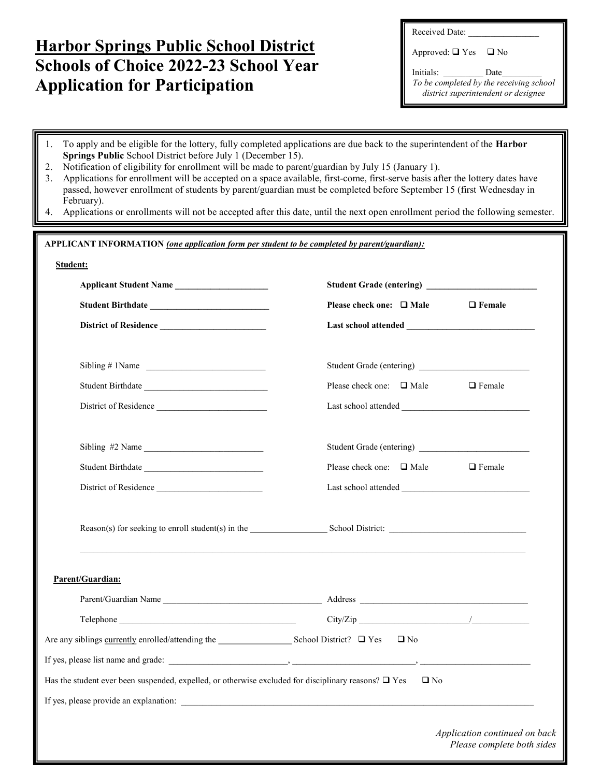## Harbor Springs Public School District Schools of Choice 2022-23 School Year Application for Participation

ı

Received Date:

Approved:  $\Box$  Yes  $\Box$  No

Initials: \_\_\_\_\_\_\_\_\_\_ Date\_ To be completed by the receiving school district superintendent or designee

| 1.<br>Springs Public School District before July 1 (December 15).<br>Notification of eligibility for enrollment will be made to parent/guardian by July 15 (January 1).<br>2.<br>3.<br>February). | To apply and be eligible for the lottery, fully completed applications are due back to the superintendent of the Harbor<br>Applications for enrollment will be accepted on a space available, first-come, first-serve basis after the lottery dates have<br>passed, however enrollment of students by parent/guardian must be completed before September 15 (first Wednesday in<br>4. Applications or enrollments will not be accepted after this date, until the next open enrollment period the following semester. |
|---------------------------------------------------------------------------------------------------------------------------------------------------------------------------------------------------|-----------------------------------------------------------------------------------------------------------------------------------------------------------------------------------------------------------------------------------------------------------------------------------------------------------------------------------------------------------------------------------------------------------------------------------------------------------------------------------------------------------------------|
|                                                                                                                                                                                                   |                                                                                                                                                                                                                                                                                                                                                                                                                                                                                                                       |
| APPLICANT INFORMATION (one application form per student to be completed by parent/guardian):                                                                                                      |                                                                                                                                                                                                                                                                                                                                                                                                                                                                                                                       |
| Student:                                                                                                                                                                                          |                                                                                                                                                                                                                                                                                                                                                                                                                                                                                                                       |
| Applicant Student Name                                                                                                                                                                            |                                                                                                                                                                                                                                                                                                                                                                                                                                                                                                                       |
|                                                                                                                                                                                                   | Please check one: $\Box$ Male<br>$\Box$ Female                                                                                                                                                                                                                                                                                                                                                                                                                                                                        |
| District of Residence                                                                                                                                                                             |                                                                                                                                                                                                                                                                                                                                                                                                                                                                                                                       |
|                                                                                                                                                                                                   |                                                                                                                                                                                                                                                                                                                                                                                                                                                                                                                       |
| Sibling # 1Name                                                                                                                                                                                   |                                                                                                                                                                                                                                                                                                                                                                                                                                                                                                                       |
| Student Birthdate                                                                                                                                                                                 | Please check one: $\Box$ Male<br>$\Box$ Female                                                                                                                                                                                                                                                                                                                                                                                                                                                                        |
| District of Residence                                                                                                                                                                             |                                                                                                                                                                                                                                                                                                                                                                                                                                                                                                                       |
|                                                                                                                                                                                                   |                                                                                                                                                                                                                                                                                                                                                                                                                                                                                                                       |
| Sibling #2 Name                                                                                                                                                                                   |                                                                                                                                                                                                                                                                                                                                                                                                                                                                                                                       |
|                                                                                                                                                                                                   | Please check one: $\Box$ Male<br>$\Box$ Female                                                                                                                                                                                                                                                                                                                                                                                                                                                                        |
| District of Residence                                                                                                                                                                             |                                                                                                                                                                                                                                                                                                                                                                                                                                                                                                                       |
|                                                                                                                                                                                                   |                                                                                                                                                                                                                                                                                                                                                                                                                                                                                                                       |
|                                                                                                                                                                                                   |                                                                                                                                                                                                                                                                                                                                                                                                                                                                                                                       |
|                                                                                                                                                                                                   |                                                                                                                                                                                                                                                                                                                                                                                                                                                                                                                       |
|                                                                                                                                                                                                   |                                                                                                                                                                                                                                                                                                                                                                                                                                                                                                                       |
| Parent/Guardian:                                                                                                                                                                                  |                                                                                                                                                                                                                                                                                                                                                                                                                                                                                                                       |
|                                                                                                                                                                                                   |                                                                                                                                                                                                                                                                                                                                                                                                                                                                                                                       |
|                                                                                                                                                                                                   |                                                                                                                                                                                                                                                                                                                                                                                                                                                                                                                       |
|                                                                                                                                                                                                   | $\Box$ No                                                                                                                                                                                                                                                                                                                                                                                                                                                                                                             |
|                                                                                                                                                                                                   |                                                                                                                                                                                                                                                                                                                                                                                                                                                                                                                       |
| Has the student ever been suspended, expelled, or otherwise excluded for disciplinary reasons? $\Box$ Yes                                                                                         | $\square$ No                                                                                                                                                                                                                                                                                                                                                                                                                                                                                                          |
|                                                                                                                                                                                                   |                                                                                                                                                                                                                                                                                                                                                                                                                                                                                                                       |
|                                                                                                                                                                                                   | Application continued on back<br>Please complete both sides                                                                                                                                                                                                                                                                                                                                                                                                                                                           |